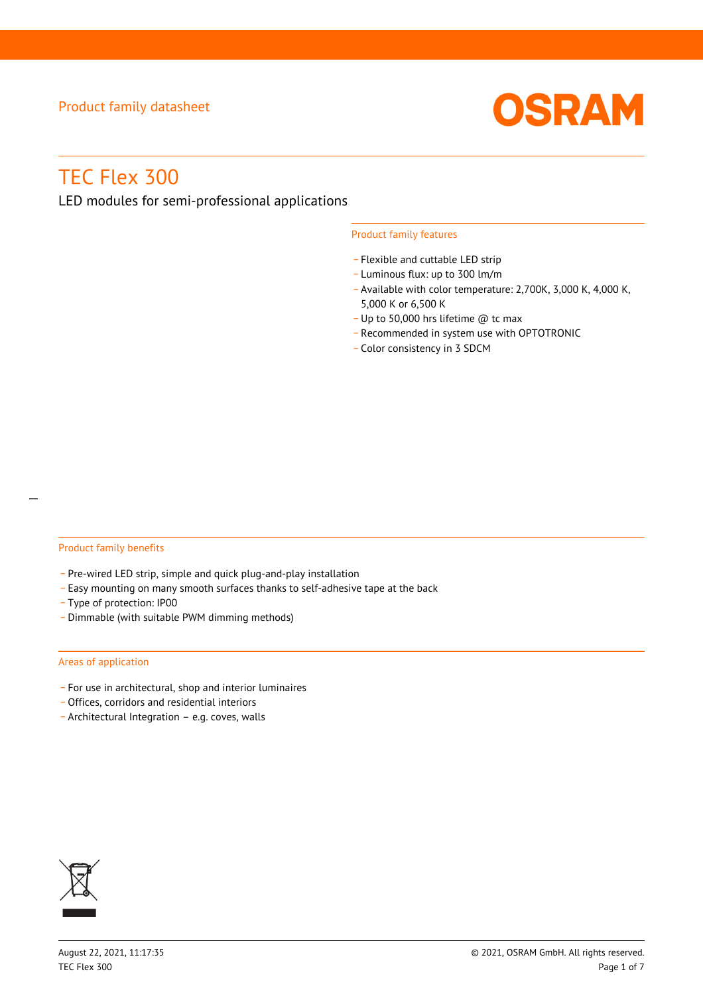

# TEC Flex 300

LED modules for semi-professional applications

### Product family features

- Flexible and cuttable LED strip
- \_ Luminous flux: up to 300 lm/m
- Available with color temperature: 2,700K, 3,000 K, 4,000 K, 5,000 K or 6,500 K
- \_ Up to 50,000 hrs lifetime @ tc max
- \_ Recommended in system use with OPTOTRONIC
- \_ Color consistency in 3 SDCM

## Product family benefits

- Pre-wired LED strip, simple and quick plug-and-play installation
- \_ Easy mounting on many smooth surfaces thanks to self-adhesive tape at the back
- \_ Type of protection: IP00
- \_ Dimmable (with suitable PWM dimming methods)

#### Areas of application

- \_ For use in architectural, shop and interior luminaires
- \_ Offices, corridors and residential interiors
- \_ Architectural Integration e.g. coves, walls

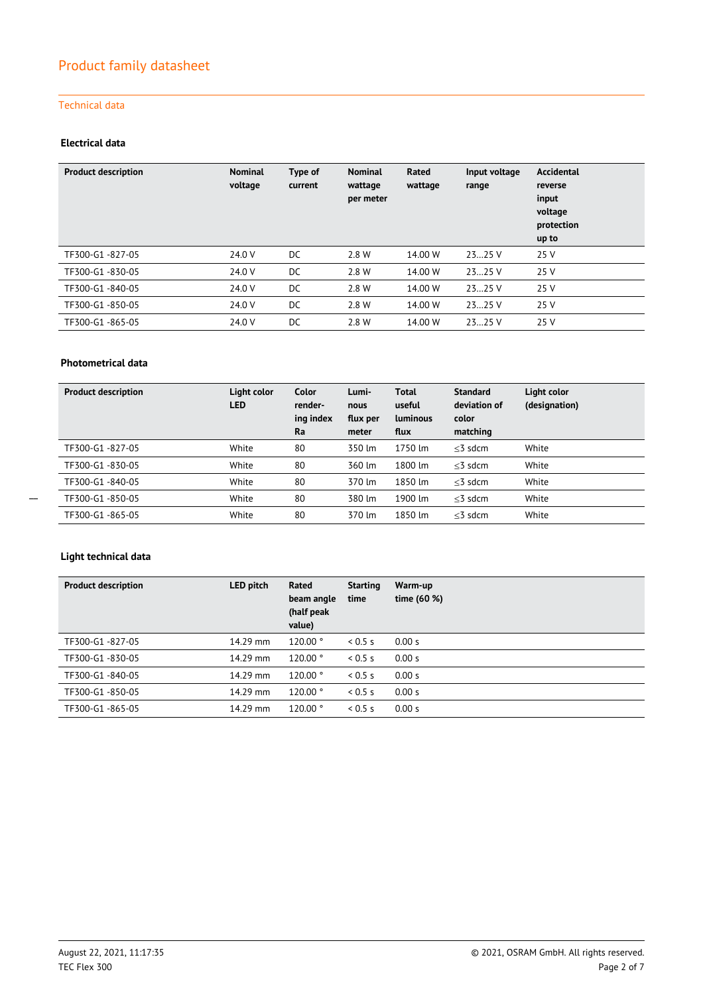## Technical data

## **Electrical data**

| <b>Product description</b> | <b>Nominal</b><br>voltage | Type of<br>current | <b>Nominal</b><br>wattage<br>per meter | Rated<br>wattage | Input voltage<br>range | Accidental<br>reverse<br>input<br>voltage<br>protection<br>up to |
|----------------------------|---------------------------|--------------------|----------------------------------------|------------------|------------------------|------------------------------------------------------------------|
| TF300-G1-827-05            | 24.0 V                    | DC                 | 2.8 W                                  | 14.00 W          | 2325 V                 | 25 V                                                             |
| TF300-G1-830-05            | 24.0 V                    | DC                 | 2.8 W                                  | 14.00 W          | 2325 V                 | 25 V                                                             |
| TF300-G1-840-05            | 24.0 V                    | DC                 | 2.8 W                                  | 14.00 W          | 2325V                  | 25 V                                                             |
| TF300-G1-850-05            | 24.0 V                    | DC                 | 2.8 W                                  | 14.00 W          | 2325 V                 | 25 V                                                             |
| TF300-G1-865-05            | 24.0 V                    | DC                 | 2.8 W                                  | 14.00 W          | 2325 V                 | 25 V                                                             |

## **Photometrical data**

| <b>Product description</b> | Light color<br><b>LED</b> | Color<br>render-<br>ing index<br>Ra | Lumi-<br>nous<br>flux per<br>meter | Total<br>useful<br><b>Luminous</b><br>flux | <b>Standard</b><br>deviation of<br>color<br>matching | Light color<br>(designation) |
|----------------------------|---------------------------|-------------------------------------|------------------------------------|--------------------------------------------|------------------------------------------------------|------------------------------|
| TF300-G1-827-05            | White                     | 80                                  | 350 lm                             | 1750 lm                                    | $<$ 3 sdcm                                           | White                        |
| TF300-G1-830-05            | White                     | 80                                  | 360 lm                             | 1800 lm                                    | $<$ 3 sdcm                                           | White                        |
| TF300-G1-840-05            | White                     | 80                                  | 370 lm                             | 1850 lm                                    | $<$ 3 sdcm                                           | White                        |
| TF300-G1-850-05            | White                     | 80                                  | 380 lm                             | 1900 lm                                    | $<$ 3 sdcm                                           | White                        |
| TF300-G1-865-05            | White                     | 80                                  | 370 lm                             | 1850 lm                                    | $<$ 3 sdcm                                           | White                        |

## **Light technical data**

| <b>Product description</b> | LED pitch | Rated<br>beam angle<br>(half peak<br>value) | <b>Starting</b><br>time | Warm-up<br>time (60 %) |
|----------------------------|-----------|---------------------------------------------|-------------------------|------------------------|
| TF300-G1-827-05            | 14.29 mm  | 120.00°                                     | 0.5 s                   | 0.00 s                 |
| TF300-G1-830-05            | 14.29 mm  | 120.00 °                                    | 0.5s                    | 0.00 s                 |
| TF300-G1-840-05            | 14.29 mm  | $120.00$ $^{\circ}$                         | 0.5 s                   | 0.00 s                 |
| TF300-G1-850-05            | 14.29 mm  | $120.00$ $^{\circ}$                         | 0.5 s                   | 0.00 s                 |
| TF300-G1-865-05            | 14.29 mm  | 120.00°                                     | 0.5 s                   | 0.00 s                 |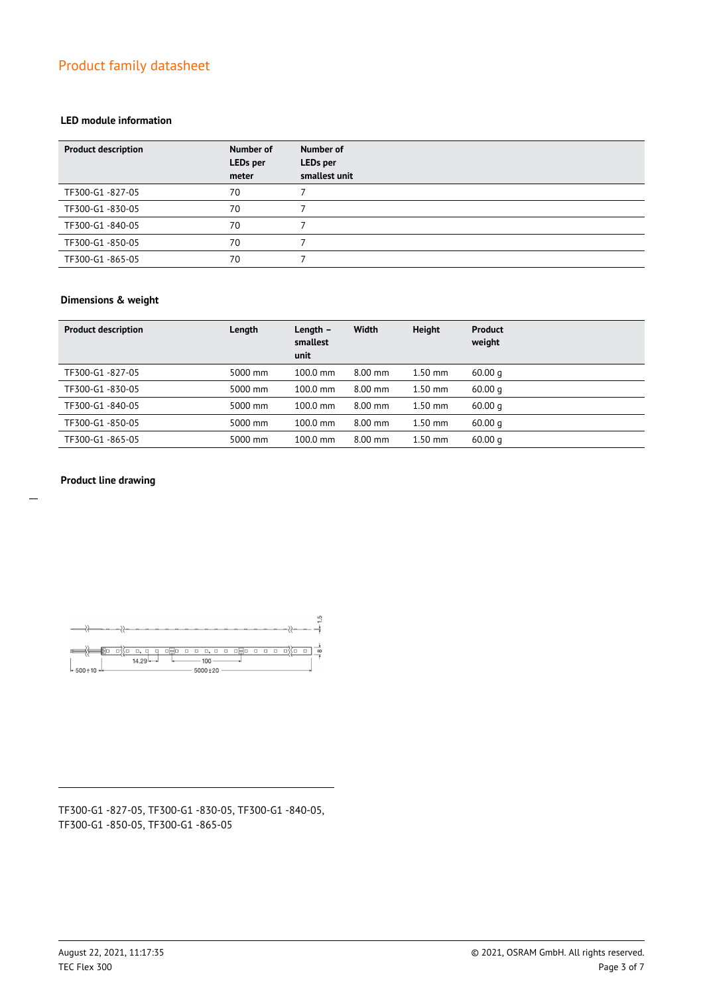### **LED module information**

| <b>Product description</b> | Number of<br><b>LEDs</b> per<br>meter | <b>Number of</b><br>LEDs per<br>smallest unit |
|----------------------------|---------------------------------------|-----------------------------------------------|
| TF300-G1-827-05            | 70                                    |                                               |
| TF300-G1-830-05            | 70                                    |                                               |
| TF300-G1-840-05            | 70                                    |                                               |
| TF300-G1-850-05            | 70                                    |                                               |
| TF300-G1-865-05            | 70                                    |                                               |

### **Dimensions & weight**

| <b>Product description</b> | Length  | Length $-$<br>smallest<br>unit | Width     | <b>Height</b> | <b>Product</b><br>weight |
|----------------------------|---------|--------------------------------|-----------|---------------|--------------------------|
| TF300-G1-827-05            | 5000 mm | 100.0 mm                       | 8.00 mm   | $1.50$ mm     | 60.00 <sub>q</sub>       |
| TF300-G1-830-05            | 5000 mm | $100.0 \text{ mm}$             | $8.00$ mm | $1.50$ mm     | 60.00 <sub>a</sub>       |
| TF300-G1-840-05            | 5000 mm | $100.0 \text{ mm}$             | $8.00$ mm | $1.50$ mm     | 60.00q                   |
| TF300-G1-850-05            | 5000 mm | $100.0 \text{ mm}$             | $8.00$ mm | $1.50$ mm     | 60.00 <sub>a</sub>       |
| TF300-G1-865-05            | 5000 mm | 100.0 mm                       | $8.00$ mm | $1.50$ mm     | 60.00q                   |

### **Product line drawing**



TF300-G1 -827-05, TF300-G1 -830-05, TF300-G1 -840-05, TF300-G1 -850-05, TF300-G1 -865-05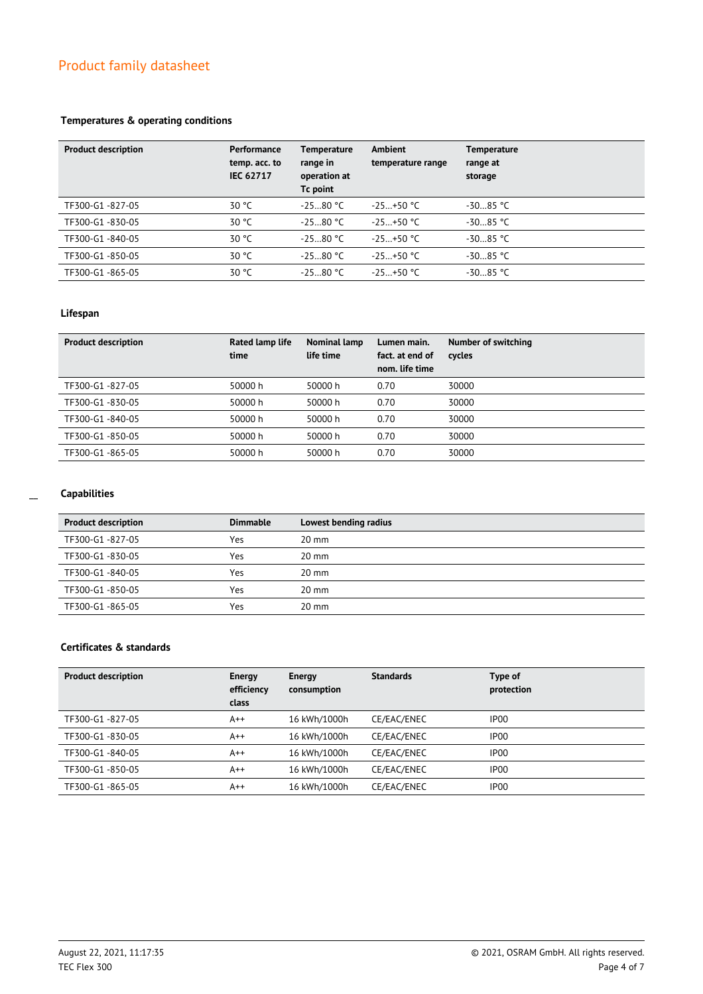## **Temperatures & operating conditions**

| <b>Product description</b> | Performance<br>temp. acc. to<br><b>IEC 62717</b> | <b>Temperature</b><br>range in<br>operation at<br>Tc point | Ambient<br>temperature range | <b>Temperature</b><br>range at<br>storage |
|----------------------------|--------------------------------------------------|------------------------------------------------------------|------------------------------|-------------------------------------------|
| TF300-G1-827-05            | 30 °C                                            | $-2580 °C$                                                 | $-25+50$ °C                  | $-3085 °C$                                |
| TF300-G1-830-05            | 30 °C                                            | $-2580$ °C                                                 | $-25+50$ °C                  | $-3085 °C$                                |
| TF300-G1-840-05            | 30 °C                                            | $-2580 °C$                                                 | $-25+50$ °C                  | $-3085$ °C                                |
| TF300-G1-850-05            | 30 °C                                            | $-2580 °C$                                                 | $-25+50$ °C                  | $-3085$ °C                                |
| TF300-G1-865-05            | 30 °C                                            | $-2580 °C$                                                 | $-25+50$ °C                  | $-3085 °C$                                |

## **Lifespan**

| <b>Product description</b> | Rated lamp life<br>time | Nominal lamp<br>life time | Lumen main.<br>fact. at end of<br>nom. life time | Number of switching<br>cycles |
|----------------------------|-------------------------|---------------------------|--------------------------------------------------|-------------------------------|
| TF300-G1-827-05            | 50000 h                 | 50000 h                   | 0.70                                             | 30000                         |
| TF300-G1-830-05            | 50000 h                 | 50000 h                   | 0.70                                             | 30000                         |
| TF300-G1-840-05            | 50000 h                 | 50000 h                   | 0.70                                             | 30000                         |
| TF300-G1-850-05            | 50000 h                 | 50000 h                   | 0.70                                             | 30000                         |
| TF300-G1-865-05            | 50000 h                 | 50000 h                   | 0.70                                             | 30000                         |

## **Capabilities**

| <b>Product description</b> | <b>Dimmable</b> | Lowest bending radius |
|----------------------------|-----------------|-----------------------|
| TF300-G1-827-05            | Yes             | $20 \text{ mm}$       |
| TF300-G1-830-05            | Yes             | $20 \text{ mm}$       |
| TF300-G1-840-05            | Yes             | $20 \text{ mm}$       |
| TF300-G1-850-05            | Yes             | $20 \text{ mm}$       |
| TF300-G1-865-05            | Yes             | $20 \text{ mm}$       |

## **Certificates & standards**

| Energy<br>efficiency<br>class | Energy<br>consumption | <b>Standards</b> | Type of<br>protection |
|-------------------------------|-----------------------|------------------|-----------------------|
| $A++$                         | 16 kWh/1000h          | CE/EAC/ENEC      | IP <sub>00</sub>      |
| $A++$                         | 16 kWh/1000h          | CE/EAC/ENEC      | IP <sub>00</sub>      |
| $A++$                         | 16 kWh/1000h          | CE/EAC/ENEC      | IP <sub>00</sub>      |
| $A++$                         | 16 kWh/1000h          | CE/EAC/ENEC      | IP <sub>00</sub>      |
| $A++$                         | 16 kWh/1000h          | CE/EAC/ENEC      | IP <sub>00</sub>      |
|                               |                       |                  |                       |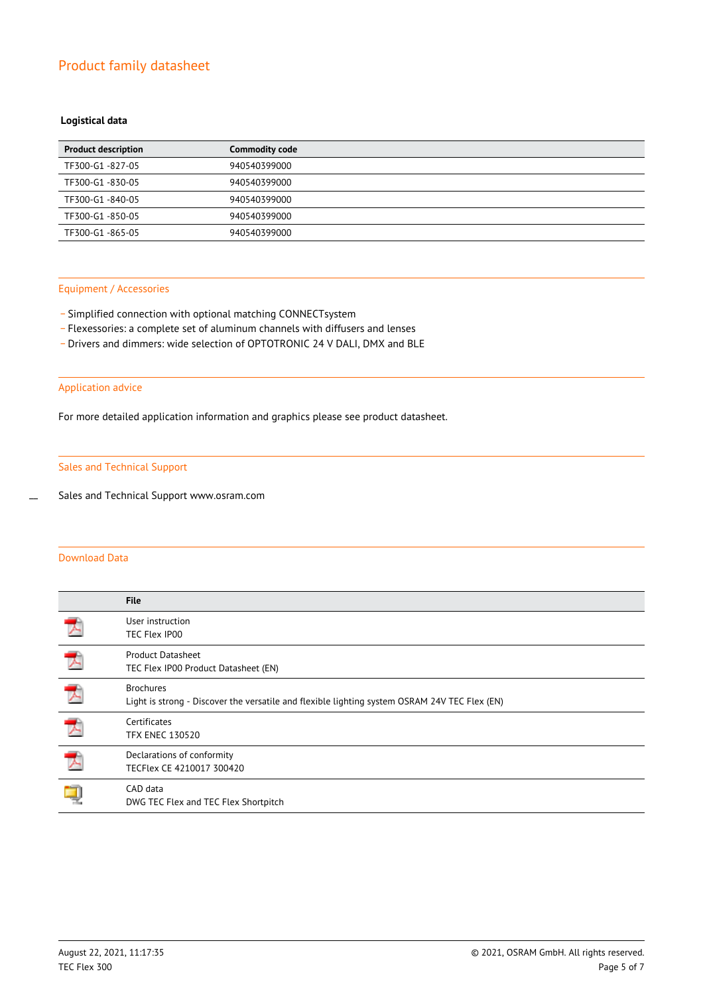## **Logistical data**

| <b>Product description</b> | <b>Commodity code</b> |
|----------------------------|-----------------------|
| TF300-G1-827-05            | 940540399000          |
| TF300-G1-830-05            | 940540399000          |
| TF300-G1-840-05            | 940540399000          |
| TF300-G1-850-05            | 940540399000          |
| TF300-G1-865-05            | 940540399000          |

#### Equipment / Accessories

- Simplified connection with optional matching CONNECTsystem
- \_ Flexessories: a complete set of aluminum channels with diffusers and lenses
- \_ Drivers and dimmers: wide selection of OPTOTRONIC 24 V DALI, DMX and BLE

### Application advice

For more detailed application information and graphics please see product datasheet.

## Sales and Technical Support

Sales and Technical Support www.osram.com

## Download Data

 $\overline{a}$ 

|                          | <b>File</b>                                                                                                       |
|--------------------------|-------------------------------------------------------------------------------------------------------------------|
| $\overline{\phantom{a}}$ | User instruction<br>TEC Flex IP00                                                                                 |
|                          | <b>Product Datasheet</b><br>TEC Flex IP00 Product Datasheet (EN)                                                  |
| ᄎ                        | <b>Brochures</b><br>Light is strong - Discover the versatile and flexible lighting system OSRAM 24V TEC Flex (EN) |
| $\overline{\phantom{a}}$ | Certificates<br><b>TFX ENEC 130520</b>                                                                            |
| 大                        | Declarations of conformity<br>TECFlex CE 4210017 300420                                                           |
|                          | CAD data<br>DWG TEC Flex and TEC Flex Shortpitch                                                                  |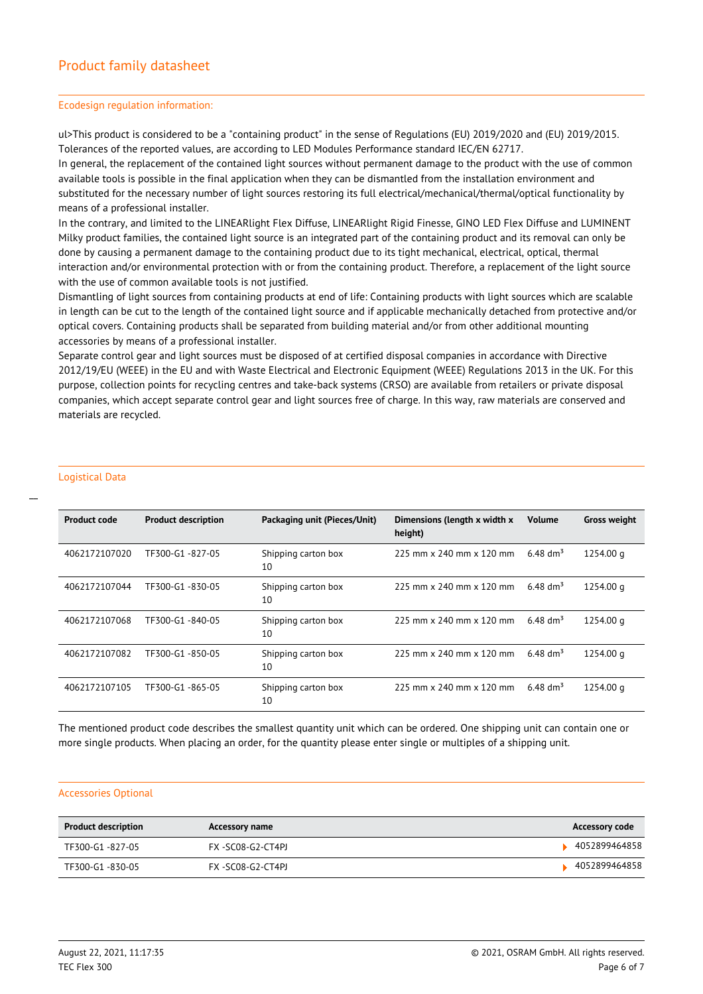#### Ecodesign regulation information:

ul>This product is considered to be a "containing product" in the sense of Regulations (EU) 2019/2020 and (EU) 2019/2015. Tolerances of the reported values, are according to LED Modules Performance standard IEC/EN 62717.

In general, the replacement of the contained light sources without permanent damage to the product with the use of common available tools is possible in the final application when they can be dismantled from the installation environment and substituted for the necessary number of light sources restoring its full electrical/mechanical/thermal/optical functionality by means of a professional installer.

In the contrary, and limited to the LINEARlight Flex Diffuse, LINEARlight Rigid Finesse, GINO LED Flex Diffuse and LUMINENT Milky product families, the contained light source is an integrated part of the containing product and its removal can only be done by causing a permanent damage to the containing product due to its tight mechanical, electrical, optical, thermal interaction and/or environmental protection with or from the containing product. Therefore, a replacement of the light source with the use of common available tools is not justified.

Dismantling of light sources from containing products at end of life: Containing products with light sources which are scalable in length can be cut to the length of the contained light source and if applicable mechanically detached from protective and/or optical covers. Containing products shall be separated from building material and/or from other additional mounting accessories by means of a professional installer.

Separate control gear and light sources must be disposed of at certified disposal companies in accordance with Directive 2012/19/EU (WEEE) in the EU and with Waste Electrical and Electronic Equipment (WEEE) Regulations 2013 in the UK. For this purpose, collection points for recycling centres and take-back systems (CRSO) are available from retailers or private disposal companies, which accept separate control gear and light sources free of charge. In this way, raw materials are conserved and materials are recycled.

## Logistical Data

 $\overline{a}$ 

| <b>Product code</b> | <b>Product description</b> | Packaging unit (Pieces/Unit) | Dimensions (length x width x<br>height) | <b>Volume</b>        | <b>Gross weight</b> |
|---------------------|----------------------------|------------------------------|-----------------------------------------|----------------------|---------------------|
| 4062172107020       | TF300-G1-827-05            | Shipping carton box<br>10    | 225 mm x 240 mm x 120 mm                | 6.48 $\rm{dm^3}$     | 1254.00 g           |
| 4062172107044       | TF300-G1-830-05            | Shipping carton box<br>10    | $225$ mm x $240$ mm x $120$ mm          | 6.48 dm <sup>3</sup> | 1254.00 g           |
| 4062172107068       | TF300-G1-840-05            | Shipping carton box<br>10    | $225$ mm x 240 mm x 120 mm              | 6.48 dm <sup>3</sup> | 1254.00 g           |
| 4062172107082       | TF300-G1-850-05            | Shipping carton box<br>10    | 225 mm x 240 mm x 120 mm                | 6.48 dm <sup>3</sup> | 1254.00 g           |
| 4062172107105       | TF300-G1 -865-05           | Shipping carton box<br>10    | 225 mm x 240 mm x 120 mm                | 6.48 dm <sup>3</sup> | 1254.00 g           |

The mentioned product code describes the smallest quantity unit which can be ordered. One shipping unit can contain one or more single products. When placing an order, for the quantity please enter single or multiples of a shipping unit.

#### Accessories Optional

| <b>Product description</b> | <b>Accessory name</b> | <b>Accessory code</b> |
|----------------------------|-----------------------|-----------------------|
| TF300-G1 -827-05           | FX -SC08-G2-CT4PI     | 4052899464858         |
| TF300-G1-830-05            | FX -SC08-G2-CT4PJ     | 4052899464858         |